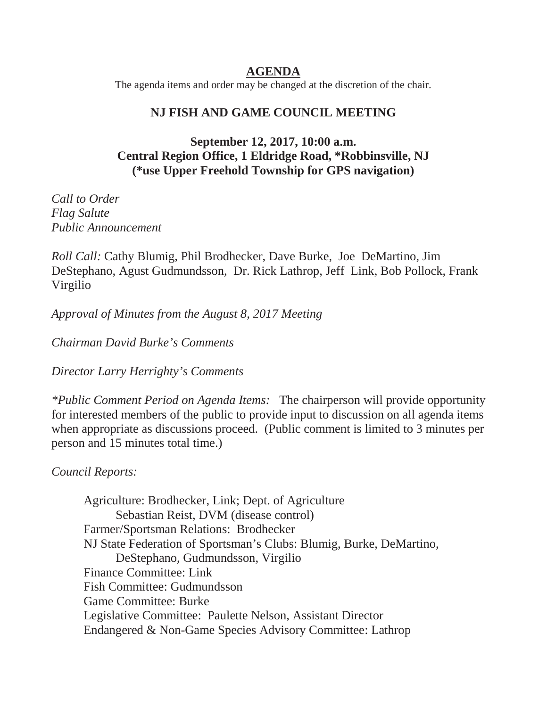### **AGENDA**

The agenda items and order may be changed at the discretion of the chair.

### **NJ FISH AND GAME COUNCIL MEETING**

## **September 12, 2017, 10:00 a.m. Central Region Office, 1 Eldridge Road, \*Robbinsville, NJ (\*use Upper Freehold Township for GPS navigation)**

*Call to Order Flag Salute Public Announcement* 

*Roll Call:* Cathy Blumig, Phil Brodhecker, Dave Burke, Joe DeMartino, Jim DeStephano, Agust Gudmundsson, Dr. Rick Lathrop, Jeff Link, Bob Pollock, Frank Virgilio

*Approval of Minutes from the August 8, 2017 Meeting* 

*Chairman David Burke's Comments* 

*Director Larry Herrighty's Comments* 

*\*Public Comment Period on Agenda Items:* The chairperson will provide opportunity for interested members of the public to provide input to discussion on all agenda items when appropriate as discussions proceed. (Public comment is limited to 3 minutes per person and 15 minutes total time.)

*Council Reports:* 

Agriculture: Brodhecker, Link; Dept. of Agriculture Sebastian Reist, DVM (disease control) Farmer/Sportsman Relations: Brodhecker NJ State Federation of Sportsman's Clubs: Blumig, Burke, DeMartino, DeStephano, Gudmundsson, Virgilio Finance Committee: Link Fish Committee: Gudmundsson Game Committee: Burke Legislative Committee: Paulette Nelson, Assistant Director Endangered & Non-Game Species Advisory Committee: Lathrop